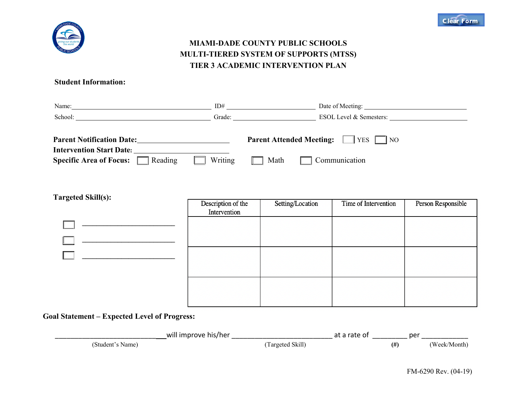



## **MIAMI-DADE COUNTY PUBLIC SCHOOLS MULTI-TIERED SYSTEM OF SUPPORTS (MTSS) TIER 3 ACADEMIC INTERVENTION PLAN**

## **Student Information:**

| Name:                                                               | ID#                             | Date of Meeting:        |
|---------------------------------------------------------------------|---------------------------------|-------------------------|
| School:                                                             | Grade:                          | ESOL Level & Semesters: |
| <b>Parent Notification Date:</b><br><b>Intervention Start Date:</b> | <b>Parent Attended Meeting:</b> | $ YES $ NO              |
| Reading<br>Specific Area of Focus: $\Box$                           | Writing<br>Math                 | Communication           |

| <b>Targeted Skill(s):</b> | Description of the<br>Intervention | Setting/Location | Time of Intervention | Person Responsible |
|---------------------------|------------------------------------|------------------|----------------------|--------------------|
|                           |                                    |                  |                      |                    |
|                           |                                    |                  |                      |                    |
|                           |                                    |                  |                      |                    |
|                           |                                    |                  |                      |                    |
|                           |                                    |                  |                      |                    |
|                           |                                    |                  |                      |                    |

## **Goal Statement – Expected Level of Progress:**

|                  | will improve his/her |                  | at a rate of |      | per          |
|------------------|----------------------|------------------|--------------|------|--------------|
| (Student's Name) |                      | (Targeted Skill) |              | (# ) | (Week/Month) |

FM-6290 Rev. (04-19)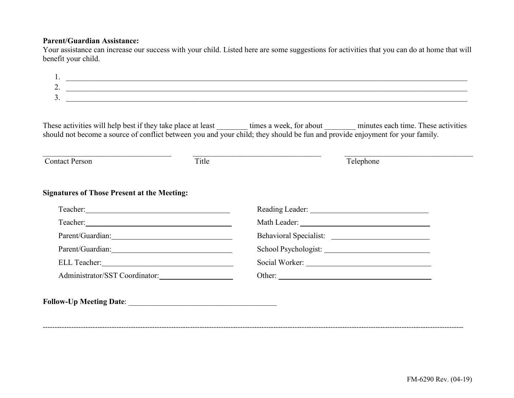## **Parent/Guardian Assistance:**

Your assistance can increase our success with your child. Listed here are some suggestions for activities that you can do at home that will benefit your child.

| <u>.</u> |  |
|----------|--|
| ، ب      |  |
|          |  |

These activities will help best if they take place at least \_\_\_\_\_\_\_\_ times a week, for about \_\_\_\_\_\_\_\_ minutes each time. These activities should not become a source of conflict between you and your child; they should be fun and provide enjoyment for your family.

| <b>Contact Person</b>                              | Title | Telephone              |
|----------------------------------------------------|-------|------------------------|
| <b>Signatures of Those Present at the Meeting:</b> |       |                        |
|                                                    |       |                        |
|                                                    |       |                        |
|                                                    |       | Behavioral Specialist: |
|                                                    |       |                        |
|                                                    |       |                        |
| Administrator/SST Coordinator:                     |       | Other:                 |

---------------------------------------------------------------------------------------------------------------------------------------------------------------------------------